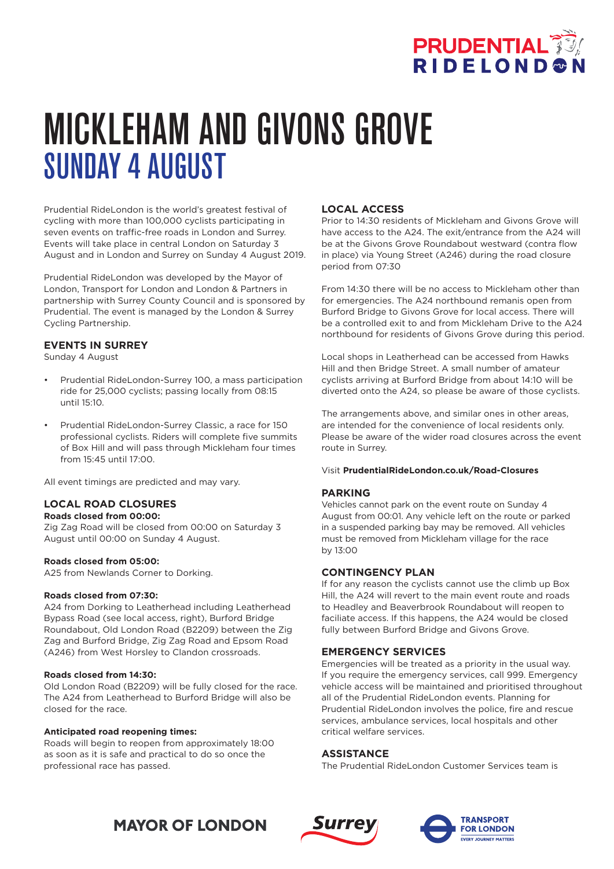

# MICKLEHAM AND GIVONS GROVE SUNDAY 4 AUGUST

Prudential RideLondon is the world's greatest festival of cycling with more than 100,000 cyclists participating in seven events on traffic-free roads in London and Surrey. Events will take place in central London on Saturday 3 August and in London and Surrey on Sunday 4 August 2019.

Prudential RideLondon was developed by the Mayor of London, Transport for London and London & Partners in partnership with Surrey County Council and is sponsored by Prudential. The event is managed by the London & Surrey Cycling Partnership.

# **EVENTS IN SURREY**

Sunday 4 August

- Prudential RideLondon-Surrey 100, a mass participation ride for 25,000 cyclists; passing locally from 08:15 until 15:10.
- Prudential RideLondon-Surrey Classic, a race for 150 professional cyclists. Riders will complete five summits of Box Hill and will pass through Mickleham four times from 15:45 until 17:00.

All event timings are predicted and may vary.

# **LOCAL ROAD CLOSURES**

### **Roads closed from 00:00:**

Zig Zag Road will be closed from 00:00 on Saturday 3 August until 00:00 on Sunday 4 August.

### **Roads closed from 05:00:**

A25 from Newlands Corner to Dorking.

#### **Roads closed from 07:30:**

A24 from Dorking to Leatherhead including Leatherhead Bypass Road (see local access, right), Burford Bridge Roundabout, Old London Road (B2209) between the Zig Zag and Burford Bridge, Zig Zag Road and Epsom Road (A246) from West Horsley to Clandon crossroads.

#### **Roads closed from 14:30:**

Old London Road (B2209) will be fully closed for the race. The A24 from Leatherhead to Burford Bridge will also be closed for the race.

#### **Anticipated road reopening times:**

Roads will begin to reopen from approximately 18:00 as soon as it is safe and practical to do so once the professional race has passed.

# **LOCAL ACCESS**

Prior to 14:30 residents of Mickleham and Givons Grove will have access to the A24. The exit/entrance from the A24 will be at the Givons Grove Roundabout westward (contra flow in place) via Young Street (A246) during the road closure period from 07:30

From 14:30 there will be no access to Mickleham other than for emergencies. The A24 northbound remanis open from Burford Bridge to Givons Grove for local access. There will be a controlled exit to and from Mickleham Drive to the A24 northbound for residents of Givons Grove during this period.

Local shops in Leatherhead can be accessed from Hawks Hill and then Bridge Street. A small number of amateur cyclists arriving at Burford Bridge from about 14:10 will be diverted onto the A24, so please be aware of those cyclists.

The arrangements above, and similar ones in other areas, are intended for the convenience of local residents only. Please be aware of the wider road closures across the event route in Surrey.

#### Visit **PrudentialRideLondon.co.uk/Road-Closures**

### **PARKING**

Vehicles cannot park on the event route on Sunday 4 August from 00:01. Any vehicle left on the route or parked in a suspended parking bay may be removed. All vehicles must be removed from Mickleham village for the race by 13:00

### **CONTINGENCY PLAN**

If for any reason the cyclists cannot use the climb up Box Hill, the A24 will revert to the main event route and roads to Headley and Beaverbrook Roundabout will reopen to faciliate access. If this happens, the A24 would be closed fully between Burford Bridge and Givons Grove.

### **EMERGENCY SERVICES**

Emergencies will be treated as a priority in the usual way. If you require the emergency services, call 999. Emergency vehicle access will be maintained and prioritised throughout all of the Prudential RideLondon events. Planning for Prudential RideLondon involves the police, fire and rescue services, ambulance services, local hospitals and other critical welfare services.

# **ASSISTANCE**

The Prudential RideLondon Customer Services team is





# **MAYOR OF LONDON**